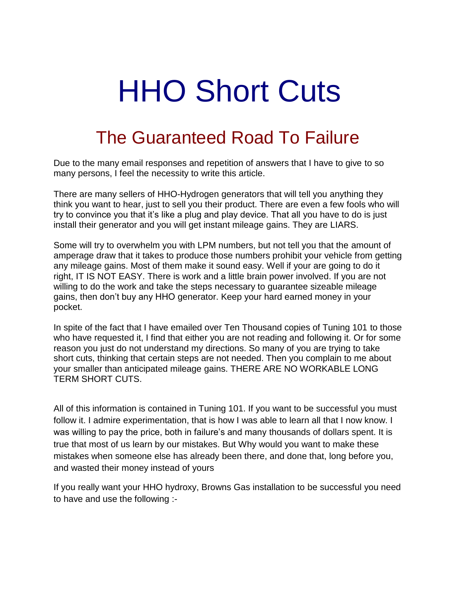## HHO Short Cuts

## The Guaranteed Road To Failure

Due to the many email responses and repetition of answers that I have to give to so many persons, I feel the necessity to write this article.

There are many sellers of HHO-Hydrogen generators that will tell you anything they think you want to hear, just to sell you their product. There are even a few fools who will try to convince you that it's like a plug and play device. That all you have to do is just install their generator and you will get instant mileage gains. They are LIARS.

Some will try to overwhelm you with LPM numbers, but not tell you that the amount of amperage draw that it takes to produce those numbers prohibit your vehicle from getting any mileage gains. Most of them make it sound easy. Well if your are going to do it right, IT IS NOT EASY. There is work and a little brain power involved. If you are not willing to do the work and take the steps necessary to guarantee sizeable mileage gains, then don't buy any HHO generator. Keep your hard earned money in your pocket.

In spite of the fact that I have emailed over Ten Thousand copies of Tuning 101 to those who have requested it, I find that either you are not reading and following it. Or for some reason you just do not understand my directions. So many of you are trying to take short cuts, thinking that certain steps are not needed. Then you complain to me about your smaller than anticipated mileage gains. THERE ARE NO WORKABLE LONG TERM SHORT CUTS.

All of this information is contained in Tuning 101. If you want to be successful you must follow it. I admire experimentation, that is how I was able to learn all that I now know. I was willing to pay the price, both in failure's and many thousands of dollars spent. It is true that most of us learn by our mistakes. But Why would you want to make these mistakes when someone else has already been there, and done that, long before you, and wasted their money instead of yours

If you really want your HHO hydroxy, Browns Gas installation to be successful you need to have and use the following :-